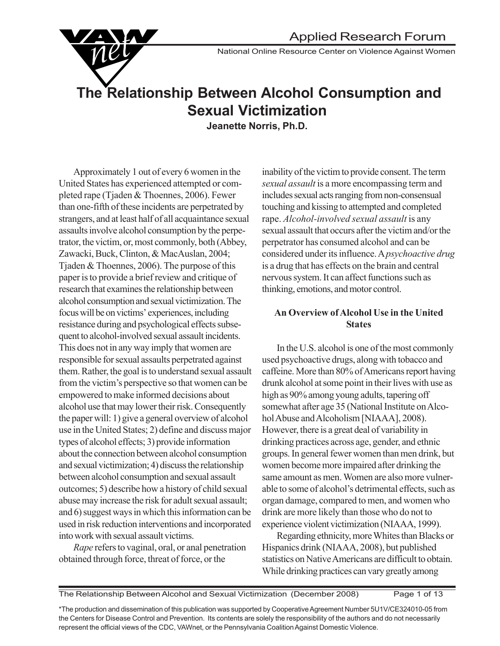National Online Resource Center on Violence Against Women

# **The Relationship Between Alcohol Consumption and Sexual Victimization**

**Jeanette Norris, Ph.D.**

Approximately 1 out of every 6 women in the United States has experienced attempted or completed rape (Tjaden & Thoennes, 2006). Fewer than one-fifth of these incidents are perpetrated by strangers, and at least half of all acquaintance sexual assaults involve alcohol consumption by the perpetrator, the victim, or, most commonly, both (Abbey, Zawacki, Buck, Clinton, & MacAuslan, 2004; Tjaden & Thoennes, 2006). The purpose of this paper is to provide a brief review and critique of research that examines the relationship between alcohol consumption and sexual victimization. The focus will be on victims' experiences, including resistance during and psychological effects subsequent to alcohol-involved sexual assault incidents. This does not in any way imply that women are responsible for sexual assaults perpetrated against them. Rather, the goal is to understand sexual assault from the victim's perspective so that women can be empowered to make informed decisions about alcohol use that may lower their risk. Consequently the paper will: 1) give a general overview of alcohol use in the United States; 2) define and discuss major types of alcohol effects; 3) provide information about the connection between alcohol consumption and sexual victimization; 4) discuss the relationship between alcohol consumption and sexual assault outcomes; 5) describe how a history of child sexual abuse may increase the risk for adult sexual assault; and 6) suggest ways in which this information can be used in risk reduction interventions and incorporated into work with sexual assault victims.

*Rape* refers to vaginal, oral, or anal penetration obtained through force, threat of force, or the

inability of the victim to provide consent. The term *sexual assault* is a more encompassing term and includes sexual acts ranging from non-consensual touching and kissing to attempted and completed rape. *Alcohol-involved sexual assault* is any sexual assault that occurs after the victim and/or the perpetrator has consumed alcohol and can be considered under its influence. A *psychoactive drug* is a drug that has effects on the brain and central nervous system. It can affect functions such as thinking, emotions, and motor control.

#### **An Overview of Alcohol Use in the United States**

In the U.S. alcohol is one of the most commonly used psychoactive drugs, along with tobacco and caffeine. More than 80% of Americans report having drunk alcohol at some point in their lives with use as high as 90% among young adults, tapering off somewhat after age 35 (National Institute on Alcohol Abuse and Alcoholism [NIAAA], 2008). However, there is a great deal of variability in drinking practices across age, gender, and ethnic groups. In general fewer women than men drink, but women become more impaired after drinking the same amount as men. Women are also more vulnerable to some of alcohol's detrimental effects, such as organ damage, compared to men, and women who drink are more likely than those who do not to experience violent victimization (NIAAA, 1999).

Regarding ethnicity, more Whites than Blacks or Hispanics drink (NIAAA, 2008), but published statistics on Native Americans are difficult to obtain. While drinking practices can vary greatly among

\*The production and dissemination of this publication was supported by Cooperative Agreement Number 5U1V/CE324010-05 from the Centers for Disease Control and Prevention. Its contents are solely the responsibility of the authors and do not necessarily represent the official views of the CDC, VAWnet, or the Pennsylvania Coalition Against Domestic Violence.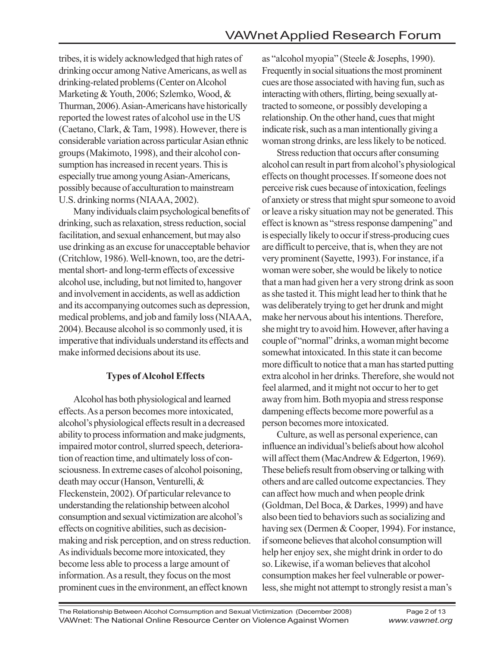tribes, it is widely acknowledged that high rates of drinking occur among Native Americans, as well as drinking-related problems (Center on Alcohol Marketing & Youth, 2006; Szlemko, Wood, & Thurman, 2006). Asian-Americans have historically reported the lowest rates of alcohol use in the US (Caetano, Clark, & Tam, 1998). However, there is considerable variation across particular Asian ethnic groups (Makimoto, 1998), and their alcohol consumption has increased in recent years. This is especially true among young Asian-Americans, possibly because of acculturation to mainstream U.S. drinking norms (NIAAA, 2002).

Many individuals claim psychological benefits of drinking, such as relaxation, stress reduction, social facilitation, and sexual enhancement, but may also use drinking as an excuse for unacceptable behavior (Critchlow, 1986). Well-known, too, are the detrimental short- and long-term effects of excessive alcohol use, including, but not limited to, hangover and involvement in accidents, as well as addiction and its accompanying outcomes such as depression, medical problems, and job and family loss (NIAAA, 2004). Because alcohol is so commonly used, it is imperative that individuals understand its effects and make informed decisions about its use.

## **Types of Alcohol Effects**

Alcohol has both physiological and learned effects. As a person becomes more intoxicated, alcohol's physiological effects result in a decreased ability to process information and make judgments, impaired motor control, slurred speech, deterioration of reaction time, and ultimately loss of consciousness. In extreme cases of alcohol poisoning, death may occur (Hanson, Venturelli, & Fleckenstein, 2002). Of particular relevance to understanding the relationship between alcohol consumption and sexual victimization are alcohol's effects on cognitive abilities, such as decisionmaking and risk perception, and on stress reduction. As individuals become more intoxicated, they become less able to process a large amount of information. As a result, they focus on the most prominent cues in the environment, an effect known

as "alcohol myopia" (Steele & Josephs, 1990). Frequently in social situations the most prominent cues are those associated with having fun, such as interacting with others, flirting, being sexually attracted to someone, or possibly developing a relationship. On the other hand, cues that might indicate risk, such as a man intentionally giving a woman strong drinks, are less likely to be noticed.

Stress reduction that occurs after consuming alcohol can result in part from alcohol's physiological effects on thought processes. If someone does not perceive risk cues because of intoxication, feelings of anxiety or stress that might spur someone to avoid or leave a risky situation may not be generated. This effect is known as "stress response dampening" and is especially likely to occur if stress-producing cues are difficult to perceive, that is, when they are not very prominent (Sayette, 1993). For instance, if a woman were sober, she would be likely to notice that a man had given her a very strong drink as soon as she tasted it. This might lead her to think that he was deliberately trying to get her drunk and might make her nervous about his intentions. Therefore, she might try to avoid him. However, after having a couple of "normal" drinks, a woman might become somewhat intoxicated. In this state it can become more difficult to notice that a man has started putting extra alcohol in her drinks. Therefore, she would not feel alarmed, and it might not occur to her to get away from him. Both myopia and stress response dampening effects become more powerful as a person becomes more intoxicated.

Culture, as well as personal experience, can influence an individual's beliefs about how alcohol will affect them (MacAndrew & Edgerton, 1969). These beliefs result from observing or talking with others and are called outcome expectancies. They can affect how much and when people drink (Goldman, Del Boca, & Darkes, 1999) and have also been tied to behaviors such as socializing and having sex (Dermen & Cooper, 1994). For instance, if someone believes that alcohol consumption will help her enjoy sex, she might drink in order to do so. Likewise, if a woman believes that alcohol consumption makes her feel vulnerable or powerless, she might not attempt to strongly resist a man's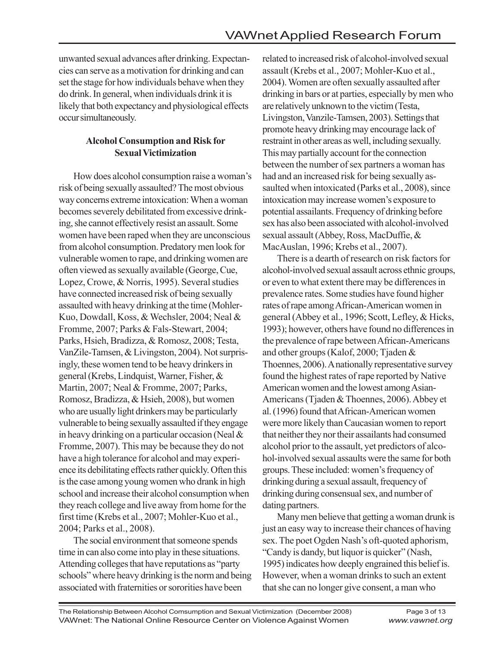unwanted sexual advances after drinking. Expectancies can serve as a motivation for drinking and can set the stage for how individuals behave when they do drink. In general, when individuals drink it is likely that both expectancy and physiological effects occur simultaneously.

### **Alcohol Consumption and Risk for Sexual Victimization**

How does alcohol consumption raise a woman's risk of being sexually assaulted? The most obvious way concerns extreme intoxication: When a woman becomes severely debilitated from excessive drinking, she cannot effectively resist an assault. Some women have been raped when they are unconscious from alcohol consumption. Predatory men look for vulnerable women to rape, and drinking women are often viewed as sexually available (George, Cue, Lopez, Crowe, & Norris, 1995). Several studies have connected increased risk of being sexually assaulted with heavy drinking at the time (Mohler-Kuo, Dowdall, Koss, & Wechsler, 2004; Neal & Fromme, 2007; Parks & Fals-Stewart, 2004; Parks, Hsieh, Bradizza, & Romosz, 2008; Testa, VanZile-Tamsen, & Livingston, 2004). Not surprisingly, these women tend to be heavy drinkers in general (Krebs, Lindquist, Warner, Fisher, & Martin, 2007; Neal & Fromme, 2007; Parks, Romosz, Bradizza, & Hsieh, 2008), but women who are usually light drinkers may be particularly vulnerable to being sexually assaulted if they engage in heavy drinking on a particular occasion (Neal & Fromme, 2007). This may be because they do not have a high tolerance for alcohol and may experience its debilitating effects rather quickly. Often this is the case among young women who drank in high school and increase their alcohol consumption when they reach college and live away from home for the first time (Krebs et al., 2007; Mohler-Kuo et al., 2004; Parks et al., 2008).

The social environment that someone spends time in can also come into play in these situations. Attending colleges that have reputations as "party schools" where heavy drinking is the norm and being associated with fraternities or sororities have been

related to increased risk of alcohol-involved sexual assault (Krebs et al., 2007; Mohler-Kuo et al., 2004). Women are often sexually assaulted after drinking in bars or at parties, especially by men who are relatively unknown to the victim (Testa, Livingston, Vanzile-Tamsen, 2003). Settings that promote heavy drinking may encourage lack of restraint in other areas as well, including sexually. This may partially account for the connection between the number of sex partners a woman has had and an increased risk for being sexually assaulted when intoxicated (Parks et al., 2008), since intoxication may increase women's exposure to potential assailants. Frequency of drinking before sex has also been associated with alcohol-involved sexual assault (Abbey, Ross, MacDuffie, & MacAuslan, 1996; Krebs et al., 2007).

There is a dearth of research on risk factors for alcohol-involved sexual assault across ethnic groups, or even to what extent there may be differences in prevalence rates. Some studies have found higher rates of rape among African-American women in general (Abbey et al., 1996; Scott, Lefley, & Hicks, 1993); however, others have found no differences in the prevalence of rape between African-Americans and other groups (Kalof, 2000; Tjaden & Thoennes, 2006). A nationally representative survey found the highest rates of rape reported by Native American women and the lowest among Asian-Americans (Tjaden & Thoennes, 2006). Abbey et al. (1996) found that African-American women were more likely than Caucasian women to report that neither they nor their assailants had consumed alcohol prior to the assault, yet predictors of alcohol-involved sexual assaults were the same for both groups. These included: women's frequency of drinking during a sexual assault, frequency of drinking during consensual sex, and number of dating partners.

Many men believe that getting a woman drunk is just an easy way to increase their chances of having sex. The poet Ogden Nash's oft-quoted aphorism, "Candy is dandy, but liquor is quicker" (Nash, 1995) indicates how deeply engrained this belief is. However, when a woman drinks to such an extent that she can no longer give consent, a man who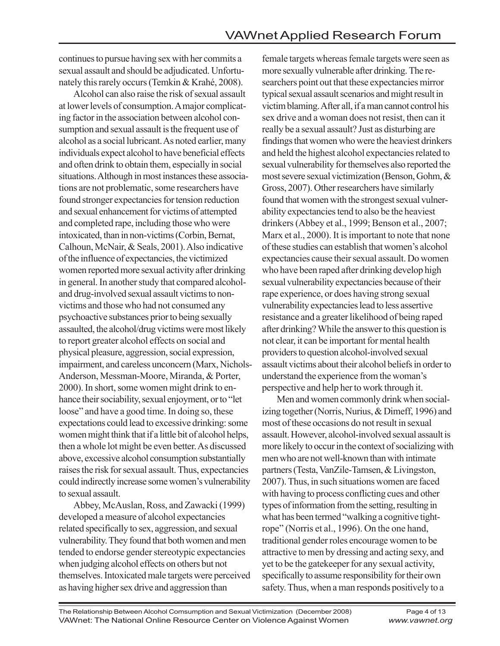continues to pursue having sex with her commits a sexual assault and should be adjudicated. Unfortunately this rarely occurs (Temkin & Krahé, 2008).

Alcohol can also raise the risk of sexual assault at lower levels of consumption. A major complicating factor in the association between alcohol consumption and sexual assault is the frequent use of alcohol as a social lubricant. As noted earlier, many individuals expect alcohol to have beneficial effects and often drink to obtain them, especially in social situations. Although in most instances these associations are not problematic, some researchers have found stronger expectancies for tension reduction and sexual enhancement for victims of attempted and completed rape, including those who were intoxicated, than in non-victims (Corbin, Bernat, Calhoun, McNair, & Seals, 2001). Also indicative of the influence of expectancies, the victimized women reported more sexual activity after drinking in general. In another study that compared alcoholand drug-involved sexual assault victims to nonvictims and those who had not consumed any psychoactive substances prior to being sexually assaulted, the alcohol/drug victims were most likely to report greater alcohol effects on social and physical pleasure, aggression, social expression, impairment, and careless unconcern (Marx, Nichols-Anderson, Messman-Moore, Miranda, & Porter, 2000). In short, some women might drink to enhance their sociability, sexual enjoyment, or to "let loose" and have a good time. In doing so, these expectations could lead to excessive drinking: some women might think that if a little bit of alcohol helps, then a whole lot might be even better. As discussed above, excessive alcohol consumption substantially raises the risk for sexual assault. Thus, expectancies could indirectly increase some women's vulnerability to sexual assault.

Abbey, McAuslan, Ross, and Zawacki (1999) developed a measure of alcohol expectancies related specifically to sex, aggression, and sexual vulnerability. They found that both women and men tended to endorse gender stereotypic expectancies when judging alcohol effects on others but not themselves. Intoxicated male targets were perceived as having higher sex drive and aggression than

female targets whereas female targets were seen as more sexually vulnerable after drinking. The researchers point out that these expectancies mirror typical sexual assault scenarios and might result in victim blaming. After all, if a man cannot control his sex drive and a woman does not resist, then can it really be a sexual assault? Just as disturbing are findings that women who were the heaviest drinkers and held the highest alcohol expectancies related to sexual vulnerability for themselves also reported the most severe sexual victimization (Benson, Gohm, & Gross, 2007). Other researchers have similarly found that women with the strongest sexual vulnerability expectancies tend to also be the heaviest drinkers (Abbey et al., 1999; Benson et al., 2007; Marx et al., 2000). It is important to note that none of these studies can establish that women's alcohol expectancies cause their sexual assault. Do women who have been raped after drinking develop high sexual vulnerability expectancies because of their rape experience, or does having strong sexual vulnerability expectancies lead to less assertive resistance and a greater likelihood of being raped after drinking? While the answer to this question is not clear, it can be important for mental health providers to question alcohol-involved sexual assault victims about their alcohol beliefs in order to understand the experience from the woman's perspective and help her to work through it.

Men and women commonly drink when socializing together (Norris, Nurius, & Dimeff, 1996) and most of these occasions do not result in sexual assault. However, alcohol-involved sexual assault is more likely to occur in the context of socializing with men who are not well-known than with intimate partners (Testa, VanZile-Tamsen, & Livingston, 2007). Thus, in such situations women are faced with having to process conflicting cues and other types of information from the setting, resulting in what has been termed "walking a cognitive tightrope" (Norris et al., 1996). On the one hand, traditional gender roles encourage women to be attractive to men by dressing and acting sexy, and yet to be the gatekeeper for any sexual activity, specifically to assume responsibility for their own safety. Thus, when a man responds positively to a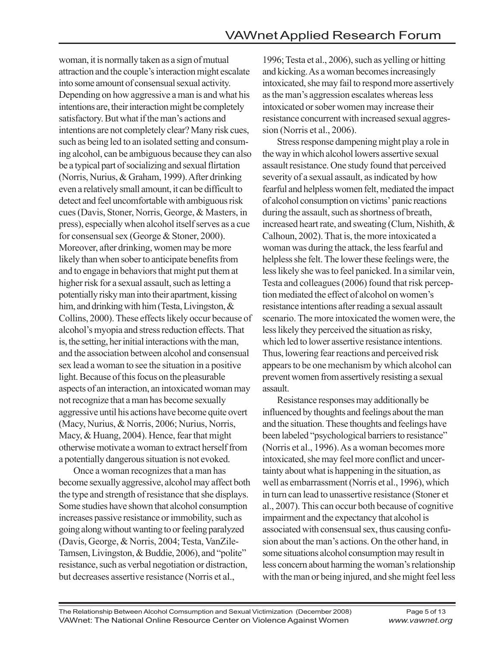woman, it is normally taken as a sign of mutual attraction and the couple's interaction might escalate into some amount of consensual sexual activity. Depending on how aggressive a man is and what his intentions are, their interaction might be completely satisfactory. But what if the man's actions and intentions are not completely clear? Many risk cues, such as being led to an isolated setting and consuming alcohol, can be ambiguous because they can also be a typical part of socializing and sexual flirtation (Norris, Nurius, & Graham, 1999). After drinking even a relatively small amount, it can be difficult to detect and feel uncomfortable with ambiguous risk cues (Davis, Stoner, Norris, George, & Masters, in press), especially when alcohol itself serves as a cue for consensual sex (George & Stoner, 2000). Moreover, after drinking, women may be more likely than when sober to anticipate benefits from and to engage in behaviors that might put them at higher risk for a sexual assault, such as letting a potentially risky man into their apartment, kissing him, and drinking with him (Testa, Livingston, & Collins, 2000). These effects likely occur because of alcohol's myopia and stress reduction effects. That is, the setting, her initial interactions with the man, and the association between alcohol and consensual sex lead a woman to see the situation in a positive light. Because of this focus on the pleasurable aspects of an interaction, an intoxicated woman may not recognize that a man has become sexually aggressive until his actions have become quite overt (Macy, Nurius, & Norris, 2006; Nurius, Norris, Macy, & Huang, 2004). Hence, fear that might otherwise motivate a woman to extract herself from a potentially dangerous situation is not evoked.

Once a woman recognizes that a man has become sexually aggressive, alcohol may affect both the type and strength of resistance that she displays. Some studies have shown that alcohol consumption increases passive resistance or immobility, such as going along without wanting to or feeling paralyzed (Davis, George, & Norris, 2004; Testa, VanZile-Tamsen, Livingston, & Buddie, 2006), and "polite" resistance, such as verbal negotiation or distraction, but decreases assertive resistance (Norris et al.,

1996; Testa et al., 2006), such as yelling or hitting and kicking. As a woman becomes increasingly intoxicated, she may fail to respond more assertively as the man's aggression escalates whereas less intoxicated or sober women may increase their resistance concurrent with increased sexual aggression (Norris et al., 2006).

Stress response dampening might play a role in the way in which alcohol lowers assertive sexual assault resistance. One study found that perceived severity of a sexual assault, as indicated by how fearful and helpless women felt, mediated the impact of alcohol consumption on victims' panic reactions during the assault, such as shortness of breath, increased heart rate, and sweating (Clum, Nishith, & Calhoun, 2002). That is, the more intoxicated a woman was during the attack, the less fearful and helpless she felt. The lower these feelings were, the less likely she was to feel panicked. In a similar vein, Testa and colleagues (2006) found that risk perception mediated the effect of alcohol on women's resistance intentions after reading a sexual assault scenario. The more intoxicated the women were, the less likely they perceived the situation as risky, which led to lower assertive resistance intentions. Thus, lowering fear reactions and perceived risk appears to be one mechanism by which alcohol can prevent women from assertively resisting a sexual assault.

Resistance responses may additionally be influenced by thoughts and feelings about the man and the situation. These thoughts and feelings have been labeled "psychological barriers to resistance" (Norris et al., 1996). As a woman becomes more intoxicated, she may feel more conflict and uncertainty about what is happening in the situation, as well as embarrassment (Norris et al., 1996), which in turn can lead to unassertive resistance (Stoner et al., 2007). This can occur both because of cognitive impairment and the expectancy that alcohol is associated with consensual sex, thus causing confusion about the man's actions. On the other hand, in some situations alcohol consumption may result in less concern about harming the woman's relationship with the man or being injured, and she might feel less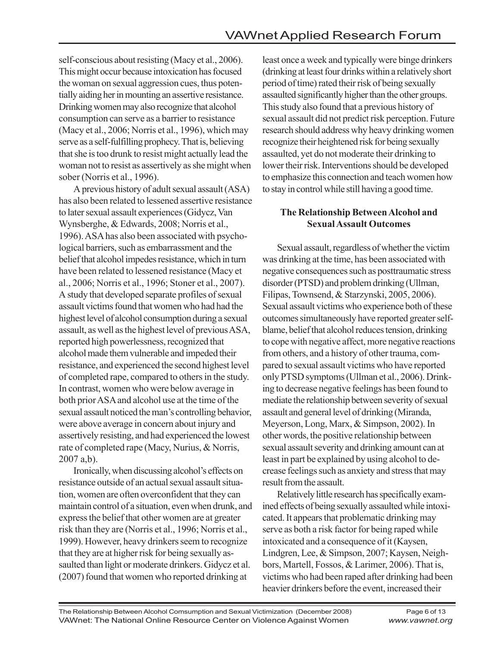self-conscious about resisting (Macy et al., 2006). This might occur because intoxication has focused the woman on sexual aggression cues, thus potentially aiding her in mounting an assertive resistance. Drinking women may also recognize that alcohol consumption can serve as a barrier to resistance (Macy et al., 2006; Norris et al., 1996), which may serve as a self-fulfilling prophecy. That is, believing that she is too drunk to resist might actually lead the woman not to resist as assertively as she might when sober (Norris et al., 1996).

A previous history of adult sexual assault (ASA) has also been related to lessened assertive resistance to later sexual assault experiences (Gidycz, Van Wynsberghe, & Edwards, 2008; Norris et al., 1996). ASA has also been associated with psychological barriers, such as embarrassment and the belief that alcohol impedes resistance, which in turn have been related to lessened resistance (Macy et al., 2006; Norris et al., 1996; Stoner et al., 2007). A study that developed separate profiles of sexual assault victims found that women who had had the highest level of alcohol consumption during a sexual assault, as well as the highest level of previous ASA, reported high powerlessness, recognized that alcohol made them vulnerable and impeded their resistance, and experienced the second highest level of completed rape, compared to others in the study. In contrast, women who were below average in both prior ASA and alcohol use at the time of the sexual assault noticed the man's controlling behavior, were above average in concern about injury and assertively resisting, and had experienced the lowest rate of completed rape (Macy, Nurius, & Norris, 2007 a,b).

Ironically, when discussing alcohol's effects on resistance outside of an actual sexual assault situation, women are often overconfident that they can maintain control of a situation, even when drunk, and express the belief that other women are at greater risk than they are (Norris et al., 1996; Norris et al., 1999). However, heavy drinkers seem to recognize that they are at higher risk for being sexually assaulted than light or moderate drinkers. Gidycz et al. (2007) found that women who reported drinking at

least once a week and typically were binge drinkers (drinking at least four drinks within a relatively short period of time) rated their risk of being sexually assaulted significantly higher than the other groups. This study also found that a previous history of sexual assault did not predict risk perception. Future research should address why heavy drinking women recognize their heightened risk for being sexually assaulted, yet do not moderate their drinking to lower their risk. Interventions should be developed to emphasize this connection and teach women how to stay in control while still having a good time.

### **The Relationship Between Alcohol and Sexual Assault Outcomes**

Sexual assault, regardless of whether the victim was drinking at the time, has been associated with negative consequences such as posttraumatic stress disorder (PTSD) and problem drinking (Ullman, Filipas, Townsend, & Starzynski, 2005, 2006). Sexual assault victims who experience both of these outcomes simultaneously have reported greater selfblame, belief that alcohol reduces tension, drinking to cope with negative affect, more negative reactions from others, and a history of other trauma, compared to sexual assault victims who have reported only PTSD symptoms (Ullman et al., 2006). Drinking to decrease negative feelings has been found to mediate the relationship between severity of sexual assault and general level of drinking (Miranda, Meyerson, Long, Marx, & Simpson, 2002). In other words, the positive relationship between sexual assault severity and drinking amount can at least in part be explained by using alcohol to decrease feelings such as anxiety and stress that may result from the assault.

Relatively little research has specifically examined effects of being sexually assaulted while intoxicated. It appears that problematic drinking may serve as both a risk factor for being raped while intoxicated and a consequence of it (Kaysen, Lindgren, Lee, & Simpson, 2007; Kaysen, Neighbors, Martell, Fossos, & Larimer, 2006). That is, victims who had been raped after drinking had been heavier drinkers before the event, increased their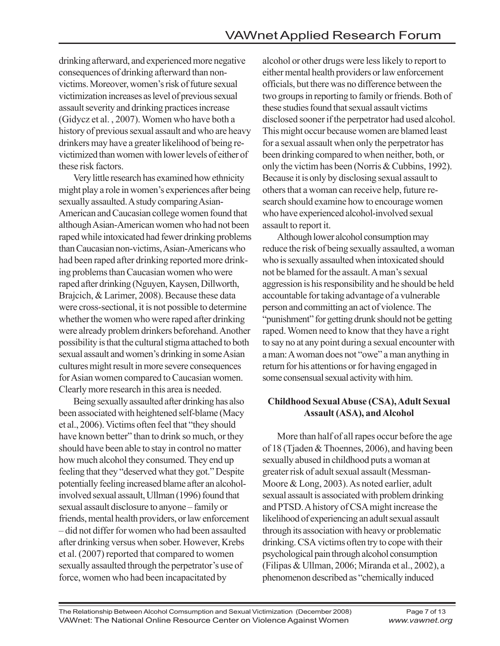drinking afterward, and experienced more negative consequences of drinking afterward than nonvictims. Moreover, women's risk of future sexual victimization increases as level of previous sexual assault severity and drinking practices increase (Gidycz et al. , 2007). Women who have both a history of previous sexual assault and who are heavy drinkers may have a greater likelihood of being revictimized than women with lower levels of either of these risk factors.

Very little research has examined how ethnicity might play a role in women's experiences after being sexually assaulted. A study comparing Asian-American and Caucasian college women found that although Asian-American women who had not been raped while intoxicated had fewer drinking problems than Caucasian non-victims, Asian-Americans who had been raped after drinking reported more drinking problems than Caucasian women who were raped after drinking (Nguyen, Kaysen, Dillworth, Brajcich, & Larimer, 2008). Because these data were cross-sectional, it is not possible to determine whether the women who were raped after drinking were already problem drinkers beforehand. Another possibility is that the cultural stigma attached to both sexual assault and women's drinking in some Asian cultures might result in more severe consequences for Asian women compared to Caucasian women. Clearly more research in this area is needed.

Being sexually assaulted after drinking has also been associated with heightened self-blame (Macy et al., 2006). Victims often feel that "they should have known better" than to drink so much, or they should have been able to stay in control no matter how much alcohol they consumed. They end up feeling that they "deserved what they got." Despite potentially feeling increased blame after an alcoholinvolved sexual assault, Ullman (1996) found that sexual assault disclosure to anyone – family or friends, mental health providers, or law enforcement – did not differ for women who had been assaulted after drinking versus when sober. However, Krebs et al. (2007) reported that compared to women sexually assaulted through the perpetrator's use of force, women who had been incapacitated by

alcohol or other drugs were less likely to report to either mental health providers or law enforcement officials, but there was no difference between the two groups in reporting to family or friends. Both of these studies found that sexual assault victims disclosed sooner if the perpetrator had used alcohol. This might occur because women are blamed least for a sexual assault when only the perpetrator has been drinking compared to when neither, both, or only the victim has been (Norris & Cubbins, 1992). Because it is only by disclosing sexual assault to others that a woman can receive help, future research should examine how to encourage women who have experienced alcohol-involved sexual assault to report it.

Although lower alcohol consumption may reduce the risk of being sexually assaulted, a woman who is sexually assaulted when intoxicated should not be blamed for the assault. A man's sexual aggression is his responsibility and he should be held accountable for taking advantage of a vulnerable person and committing an act of violence. The "punishment" for getting drunk should not be getting raped. Women need to know that they have a right to say no at any point during a sexual encounter with a man: A woman does not "owe" a man anything in return for his attentions or for having engaged in some consensual sexual activity with him.

### **Childhood Sexual Abuse (CSA), Adult Sexual Assault (ASA), and Alcohol**

More than half of all rapes occur before the age of 18 (Tjaden & Thoennes, 2006), and having been sexually abused in childhood puts a woman at greater risk of adult sexual assault (Messman-Moore & Long, 2003). As noted earlier, adult sexual assault is associated with problem drinking and PTSD. A history of CSA might increase the likelihood of experiencing an adult sexual assault through its association with heavy or problematic drinking. CSA victims often try to cope with their psychological pain through alcohol consumption (Filipas & Ullman, 2006; Miranda et al., 2002), a phenomenon described as "chemically induced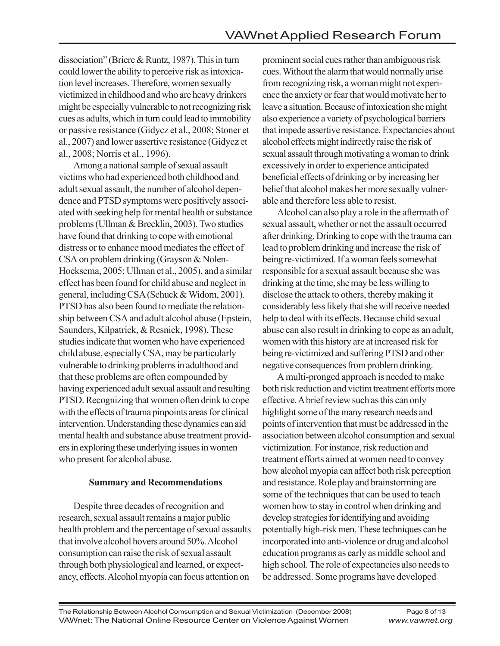dissociation" (Briere & Runtz, 1987). This in turn could lower the ability to perceive risk as intoxication level increases. Therefore, women sexually victimized in childhood and who are heavy drinkers might be especially vulnerable to not recognizing risk cues as adults, which in turn could lead to immobility or passive resistance (Gidycz et al., 2008; Stoner et al., 2007) and lower assertive resistance (Gidycz et al., 2008; Norris et al., 1996).

Among a national sample of sexual assault victims who had experienced both childhood and adult sexual assault, the number of alcohol dependence and PTSD symptoms were positively associated with seeking help for mental health or substance problems (Ullman & Brecklin, 2003). Two studies have found that drinking to cope with emotional distress or to enhance mood mediates the effect of CSA on problem drinking (Grayson & Nolen-Hoeksema, 2005; Ullman et al., 2005), and a similar effect has been found for child abuse and neglect in general, including CSA (Schuck & Widom, 2001). PTSD has also been found to mediate the relationship between CSA and adult alcohol abuse (Epstein, Saunders, Kilpatrick, & Resnick, 1998). These studies indicate that women who have experienced child abuse, especially CSA, may be particularly vulnerable to drinking problems in adulthood and that these problems are often compounded by having experienced adult sexual assault and resulting PTSD. Recognizing that women often drink to cope with the effects of trauma pinpoints areas for clinical intervention. Understanding these dynamics can aid mental health and substance abuse treatment providers in exploring these underlying issues in women who present for alcohol abuse.

#### **Summary and Recommendations**

Despite three decades of recognition and research, sexual assault remains a major public health problem and the percentage of sexual assaults that involve alcohol hovers around 50%. Alcohol consumption can raise the risk of sexual assault through both physiological and learned, or expectancy, effects. Alcohol myopia can focus attention on

prominent social cues rather than ambiguous risk cues. Without the alarm that would normally arise from recognizing risk, a woman might not experience the anxiety or fear that would motivate her to leave a situation. Because of intoxication she might also experience a variety of psychological barriers that impede assertive resistance. Expectancies about alcohol effects might indirectly raise the risk of sexual assault through motivating a woman to drink excessively in order to experience anticipated beneficial effects of drinking or by increasing her belief that alcohol makes her more sexually vulnerable and therefore less able to resist.

Alcohol can also play a role in the aftermath of sexual assault, whether or not the assault occurred after drinking. Drinking to cope with the trauma can lead to problem drinking and increase the risk of being re-victimized. If a woman feels somewhat responsible for a sexual assault because she was drinking at the time, she may be less willing to disclose the attack to others, thereby making it considerably less likely that she will receive needed help to deal with its effects. Because child sexual abuse can also result in drinking to cope as an adult, women with this history are at increased risk for being re-victimized and suffering PTSD and other negative consequences from problem drinking.

A multi-pronged approach is needed to make both risk reduction and victim treatment efforts more effective. A brief review such as this can only highlight some of the many research needs and points of intervention that must be addressed in the association between alcohol consumption and sexual victimization. For instance, risk reduction and treatment efforts aimed at women need to convey how alcohol myopia can affect both risk perception and resistance. Role play and brainstorming are some of the techniques that can be used to teach women how to stay in control when drinking and develop strategies for identifying and avoiding potentially high-risk men. These techniques can be incorporated into anti-violence or drug and alcohol education programs as early as middle school and high school. The role of expectancies also needs to be addressed. Some programs have developed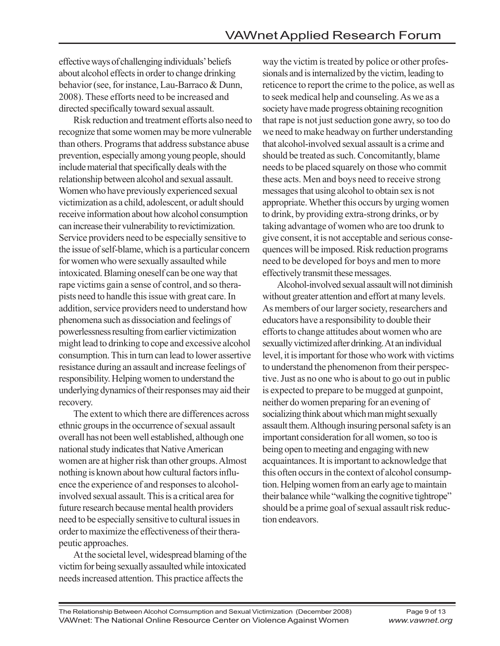effective ways of challenging individuals' beliefs about alcohol effects in order to change drinking behavior (see, for instance, Lau-Barraco & Dunn, 2008). These efforts need to be increased and directed specifically toward sexual assault.

Risk reduction and treatment efforts also need to recognize that some women may be more vulnerable than others. Programs that address substance abuse prevention, especially among young people, should include material that specifically deals with the relationship between alcohol and sexual assault. Women who have previously experienced sexual victimization as a child, adolescent, or adult should receive information about how alcohol consumption can increase their vulnerability to revictimization. Service providers need to be especially sensitive to the issue of self-blame, which is a particular concern for women who were sexually assaulted while intoxicated. Blaming oneself can be one way that rape victims gain a sense of control, and so therapists need to handle this issue with great care. In addition, service providers need to understand how phenomena such as dissociation and feelings of powerlessness resulting from earlier victimization might lead to drinking to cope and excessive alcohol consumption. This in turn can lead to lower assertive resistance during an assault and increase feelings of responsibility. Helping women to understand the underlying dynamics of their responses may aid their recovery.

The extent to which there are differences across ethnic groups in the occurrence of sexual assault overall has not been well established, although one national study indicates that Native American women are at higher risk than other groups. Almost nothing is known about how cultural factors influence the experience of and responses to alcoholinvolved sexual assault. This is a critical area for future research because mental health providers need to be especially sensitive to cultural issues in order to maximize the effectiveness of their therapeutic approaches.

At the societal level, widespread blaming of the victim for being sexually assaulted while intoxicated needs increased attention. This practice affects the

way the victim is treated by police or other professionals and is internalized by the victim, leading to reticence to report the crime to the police, as well as to seek medical help and counseling. As we as a society have made progress obtaining recognition that rape is not just seduction gone awry, so too do we need to make headway on further understanding that alcohol-involved sexual assault is a crime and should be treated as such. Concomitantly, blame needs to be placed squarely on those who commit these acts. Men and boys need to receive strong messages that using alcohol to obtain sex is not appropriate. Whether this occurs by urging women to drink, by providing extra-strong drinks, or by taking advantage of women who are too drunk to give consent, it is not acceptable and serious consequences will be imposed. Risk reduction programs need to be developed for boys and men to more effectively transmit these messages.

Alcohol-involved sexual assault will not diminish without greater attention and effort at many levels. As members of our larger society, researchers and educators have a responsibility to double their efforts to change attitudes about women who are sexually victimized after drinking. At an individual level, it is important for those who work with victims to understand the phenomenon from their perspective. Just as no one who is about to go out in public is expected to prepare to be mugged at gunpoint, neither do women preparing for an evening of socializing think about which man might sexually assault them. Although insuring personal safety is an important consideration for all women, so too is being open to meeting and engaging with new acquaintances. It is important to acknowledge that this often occurs in the context of alcohol consumption. Helping women from an early age to maintain their balance while "walking the cognitive tightrope" should be a prime goal of sexual assault risk reduction endeavors.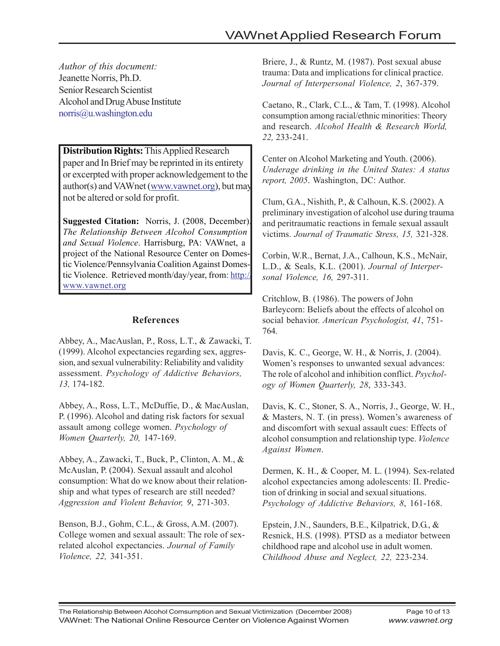*Author of this document:* Jeanette Norris, Ph.D. Senior Research Scientist Alcohol and Drug Abuse Institute norris@u.washington.edu

**Distribution Rights:** This Applied Research paper and In Brief may be reprinted in its entirety or excerpted with proper acknowledgement to the author(s) and VAWnet (www.vawnet.org), but may not be altered or sold for profit.

**Suggested Citation:** Norris, J. (2008, December). *The Relationship Between Alcohol Consumption and Sexual Violence*. Harrisburg, PA: VAWnet, a project of the National Resource Center on Domestic Violence/Pennsylvania Coalition Against Domestic Violence. Retrieved month/day/year, from: http:// www.vawnet.org

### **References**

Abbey, A., MacAuslan, P., Ross, L.T., & Zawacki, T. (1999). Alcohol expectancies regarding sex, aggression, and sexual vulnerability: Reliability and validity assessment. *Psychology of Addictive Behaviors, 13,* 174-182.

Abbey, A., Ross, L.T., McDuffie, D., & MacAuslan, P. (1996). Alcohol and dating risk factors for sexual assault among college women. *Psychology of Women Quarterly, 20,* 147-169.

Abbey, A., Zawacki, T., Buck, P., Clinton, A. M., & McAuslan, P. (2004). Sexual assault and alcohol consumption: What do we know about their relationship and what types of research are still needed? *Aggression and Violent Behavior, 9*, 271-303.

Benson, B.J., Gohm, C.L., & Gross, A.M. (2007). College women and sexual assault: The role of sexrelated alcohol expectancies. *Journal of Family Violence, 22,* 341-351.

Briere, J., & Runtz, M. (1987). Post sexual abuse trauma: Data and implications for clinical practice. *Journal of Interpersonal Violence, 2*, 367-379.

Caetano, R., Clark, C.L., & Tam, T. (1998). Alcohol consumption among racial/ethnic minorities: Theory and research. *Alcohol Health & Research World, 22,* 233-241.

Center on Alcohol Marketing and Youth. (2006). *Underage drinking in the United States: A status report, 2005*. Washington, DC: Author.

Clum, G.A., Nishith, P., & Calhoun, K.S. (2002). A preliminary investigation of alcohol use during trauma and peritraumatic reactions in female sexual assault victims. *Journal of Traumatic Stress, 15,* 321-328.

Corbin, W.R., Bernat, J.A., Calhoun, K.S., McNair, L.D., & Seals, K.L. (2001). *Journal of Interpersonal Violence, 16,* 297-311.

Critchlow, B. (1986). The powers of John Barleycorn: Beliefs about the effects of alcohol on social behavior. *American Psychologist, 41*, 751- 764.

Davis, K. C., George, W. H., & Norris, J. (2004). Women's responses to unwanted sexual advances: The role of alcohol and inhibition conflict. *Psychology of Women Quarterly, 28*, 333-343.

Davis, K. C., Stoner, S. A., Norris, J., George, W. H., & Masters, N. T. (in press). Women's awareness of and discomfort with sexual assault cues: Effects of alcohol consumption and relationship type. *Violence Against Women*.

Dermen, K. H., & Cooper, M. L. (1994). Sex-related alcohol expectancies among adolescents: II. Prediction of drinking in social and sexual situations. *Psychology of Addictive Behaviors, 8*, 161-168.

Epstein, J.N., Saunders, B.E., Kilpatrick, D.G., & Resnick, H.S. (1998). PTSD as a mediator between childhood rape and alcohol use in adult women. *Childhood Abuse and Neglect, 22,* 223-234.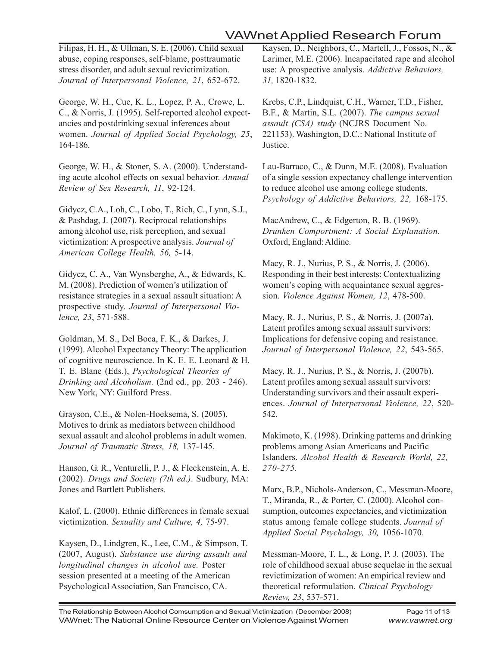# VAWnet Applied Research Forum

Filipas, H. H., & Ullman, S. E. (2006). Child sexual abuse, coping responses, self-blame, posttraumatic stress disorder, and adult sexual revictimization. *Journal of Interpersonal Violence, 21*, 652-672.

George, W. H., Cue, K. L., Lopez, P. A., Crowe, L. C., & Norris, J. (1995). Self-reported alcohol expectancies and postdrinking sexual inferences about women. *Journal of Applied Social Psychology, 25*, 164-186.

George, W. H., & Stoner, S. A. (2000). Understanding acute alcohol effects on sexual behavior. *Annual Review of Sex Research, 11*, 92-124.

Gidycz, C.A., Loh, C., Lobo, T., Rich, C., Lynn, S.J., & Pashdag, J. (2007). Reciprocal relationships among alcohol use, risk perception, and sexual victimization: A prospective analysis. *Journal of American College Health, 56,* 5-14.

Gidycz, C. A., Van Wynsberghe, A., & Edwards, K. M. (2008). Prediction of women's utilization of resistance strategies in a sexual assault situation: A prospective study. *Journal of Interpersonal Violence, 23*, 571-588.

Goldman, M. S., Del Boca, F. K., & Darkes, J. (1999). Alcohol Expectancy Theory: The application of cognitive neuroscience. In K. E. E. Leonard & H. T. E. Blane (Eds.), *Psychological Theories of Drinking and Alcoholism.* (2nd ed., pp. 203 - 246). New York, NY: Guilford Press.

Grayson, C.E., & Nolen-Hoeksema, S. (2005). Motives to drink as mediators between childhood sexual assault and alcohol problems in adult women. *Journal of Traumatic Stress, 18,* 137-145.

Hanson, G. R., Venturelli, P. J., & Fleckenstein, A. E. (2002). *Drugs and Society (7th ed.)*. Sudbury, MA: Jones and Bartlett Publishers.

Kalof, L. (2000). Ethnic differences in female sexual victimization. *Sexuality and Culture, 4,* 75-97.

Kaysen, D., Lindgren, K., Lee, C.M., & Simpson, T. (2007, August). *Substance use during assault and longitudinal changes in alcohol use.* Poster session presented at a meeting of the American Psychological Association, San Francisco, CA.

Kaysen, D., Neighbors, C., Martell, J., Fossos, N., & Larimer, M.E. (2006). Incapacitated rape and alcohol use: A prospective analysis. *Addictive Behaviors, 31,* 1820-1832.

Krebs, C.P., Lindquist, C.H., Warner, T.D., Fisher, B.F., & Martin, S.L. (2007). *The campus sexual assault (CSA) study* (NCJRS Document No. 221153). Washington, D.C.: National Institute of Justice.

Lau-Barraco, C., & Dunn, M.E. (2008). Evaluation of a single session expectancy challenge intervention to reduce alcohol use among college students. *Psychology of Addictive Behaviors, 22,* 168-175.

MacAndrew, C., & Edgerton, R. B. (1969). *Drunken Comportment: A Social Explanation*. Oxford, England: Aldine.

Macy, R. J., Nurius, P. S., & Norris, J. (2006). Responding in their best interests: Contextualizing women's coping with acquaintance sexual aggression. *Violence Against Women, 12*, 478-500.

Macy, R. J., Nurius, P. S., & Norris, J. (2007a). Latent profiles among sexual assault survivors: Implications for defensive coping and resistance. *Journal of Interpersonal Violence, 22*, 543-565.

Macy, R. J., Nurius, P. S., & Norris, J. (2007b). Latent profiles among sexual assault survivors: Understanding survivors and their assault experiences. *Journal of Interpersonal Violence, 22*, 520- 542.

Makimoto, K. (1998). Drinking patterns and drinking problems among Asian Americans and Pacific Islanders. *Alcohol Health & Research World, 22, 270-275.*

Marx, B.P., Nichols-Anderson, C., Messman-Moore, T., Miranda, R., & Porter, C. (2000). Alcohol consumption, outcomes expectancies, and victimization status among female college students. *Journal of Applied Social Psychology, 30,* 1056-1070.

Messman-Moore, T. L., & Long, P. J. (2003). The role of childhood sexual abuse sequelae in the sexual revictimization of women: An empirical review and theoretical reformulation. *Clinical Psychology Review, 23*, 537-571.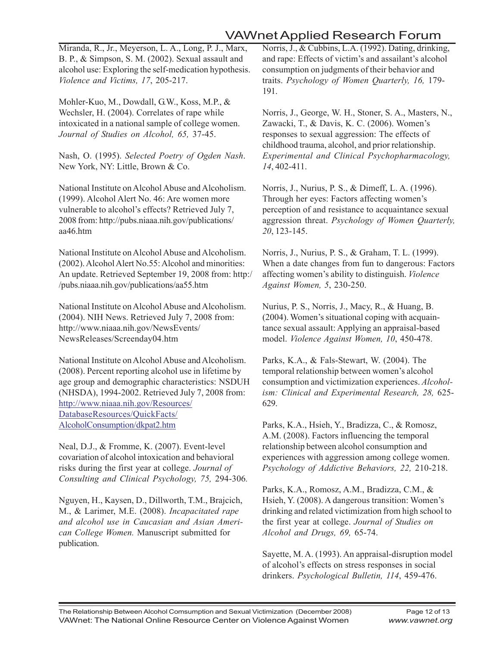# VAWnet Applied Research Forum

Miranda, R., Jr., Meyerson, L. A., Long, P. J., Marx, B. P., & Simpson, S. M. (2002). Sexual assault and alcohol use: Exploring the self-medication hypothesis. *Violence and Victims, 17*, 205-217.

Mohler-Kuo, M., Dowdall, G.W., Koss, M.P., & Wechsler, H. (2004). Correlates of rape while intoxicated in a national sample of college women. *Journal of Studies on Alcohol, 65,* 37-45.

Nash, O. (1995). *Selected Poetry of Ogden Nash*. New York, NY: Little, Brown & Co.

National Institute on Alcohol Abuse and Alcoholism. (1999). Alcohol Alert No. 46: Are women more vulnerable to alcohol's effects? Retrieved July 7, 2008 from: http://pubs.niaaa.nih.gov/publications/ aa46.htm

National Institute on Alcohol Abuse and Alcoholism. (2002). Alcohol Alert No.55: Alcohol and minorities: An update. Retrieved September 19, 2008 from: http:/ /pubs.niaaa.nih.gov/publications/aa55.htm

National Institute on Alcohol Abuse and Alcoholism. (2004). NIH News. Retrieved July 7, 2008 from: http://www.niaaa.nih.gov/NewsEvents/ NewsReleases/Screenday04.htm

National Institute on Alcohol Abuse and Alcoholism. (2008). Percent reporting alcohol use in lifetime by age group and demographic characteristics: NSDUH (NHSDA), 1994-2002. Retrieved July 7, 2008 from: http://www.niaaa.nih.gov/Resources/ DatabaseResources/QuickFacts/ AlcoholConsumption/dkpat2.htm

Neal, D.J., & Fromme, K. (2007). Event-level covariation of alcohol intoxication and behavioral risks during the first year at college. *Journal of Consulting and Clinical Psychology, 75,* 294-306*.*

Nguyen, H., Kaysen, D., Dillworth, T.M., Brajcich, M., & Larimer, M.E. (2008). *Incapacitated rape and alcohol use in Caucasian and Asian American College Women.* Manuscript submitted for publication.

Norris, J., & Cubbins, L.A. (1992). Dating, drinking, and rape: Effects of victim's and assailant's alcohol consumption on judgments of their behavior and traits. *Psychology of Women Quarterly, 16,* 179- 191.

Norris, J., George, W. H., Stoner, S. A., Masters, N., Zawacki, T., & Davis, K. C. (2006). Women's responses to sexual aggression: The effects of childhood trauma, alcohol, and prior relationship. *Experimental and Clinical Psychopharmacology, 14*, 402-411.

Norris, J., Nurius, P. S., & Dimeff, L. A. (1996). Through her eyes: Factors affecting women's perception of and resistance to acquaintance sexual aggression threat. *Psychology of Women Quarterly, 20*, 123-145.

Norris, J., Nurius, P. S., & Graham, T. L. (1999). When a date changes from fun to dangerous: Factors affecting women's ability to distinguish. *Violence Against Women, 5*, 230-250.

Nurius, P. S., Norris, J., Macy, R., & Huang, B. (2004). Women's situational coping with acquaintance sexual assault: Applying an appraisal-based model. *Violence Against Women, 10*, 450-478.

Parks, K.A., & Fals-Stewart, W. (2004). The temporal relationship between women's alcohol consumption and victimization experiences. *Alcoholism: Clinical and Experimental Research, 28,* 625- 629.

Parks, K.A., Hsieh, Y., Bradizza, C., & Romosz, A.M. (2008). Factors influencing the temporal relationship between alcohol consumption and experiences with aggression among college women. *Psychology of Addictive Behaviors, 22,* 210-218.

Parks, K.A., Romosz, A.M., Bradizza, C.M., & Hsieh, Y. (2008). A dangerous transition: Women's drinking and related victimization from high school to the first year at college. *Journal of Studies on Alcohol and Drugs, 69,* 65-74.

Sayette, M. A. (1993). An appraisal-disruption model of alcohol's effects on stress responses in social drinkers. *Psychological Bulletin, 114*, 459-476.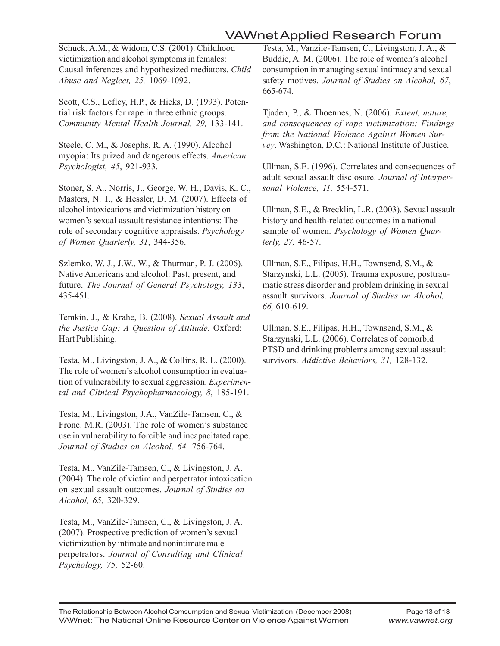# VAWnet Applied Research Forum

Schuck, A.M., & Widom, C.S. (2001). Childhood victimization and alcohol symptoms in females: Causal inferences and hypothesized mediators. *Child Abuse and Neglect, 25,* 1069-1092.

Scott, C.S., Lefley, H.P., & Hicks, D. (1993). Potential risk factors for rape in three ethnic groups. *Community Mental Health Journal, 29,* 133-141.

Steele, C. M., & Josephs, R. A. (1990). Alcohol myopia: Its prized and dangerous effects. *American Psychologist, 45*, 921-933.

Stoner, S. A., Norris, J., George, W. H., Davis, K. C., Masters, N. T., & Hessler, D. M. (2007). Effects of alcohol intoxications and victimization history on women's sexual assault resistance intentions: The role of secondary cognitive appraisals. *Psychology of Women Quarterly, 31*, 344-356.

Szlemko, W. J., J.W., W., & Thurman, P. J. (2006). Native Americans and alcohol: Past, present, and future. *The Journal of General Psychology, 133*, 435-451.

Temkin, J., & Krahe, B. (2008). *Sexual Assault and the Justice Gap: A Question of Attitude*. Oxford: Hart Publishing.

Testa, M., Livingston, J. A., & Collins, R. L. (2000). The role of women's alcohol consumption in evaluation of vulnerability to sexual aggression. *Experimental and Clinical Psychopharmacology, 8*, 185-191.

Testa, M., Livingston, J.A., VanZile-Tamsen, C., & Frone. M.R. (2003). The role of women's substance use in vulnerability to forcible and incapacitated rape. *Journal of Studies on Alcohol, 64,* 756-764.

Testa, M., VanZile-Tamsen, C., & Livingston, J. A. (2004). The role of victim and perpetrator intoxication on sexual assault outcomes. *Journal of Studies on Alcohol, 65,* 320-329.

Testa, M., VanZile-Tamsen, C., & Livingston, J. A. (2007). Prospective prediction of women's sexual victimization by intimate and nonintimate male perpetrators. *Journal of Consulting and Clinical Psychology, 75,* 52-60.

Testa, M., Vanzile-Tamsen, C., Livingston, J. A., & Buddie, A. M. (2006). The role of women's alcohol consumption in managing sexual intimacy and sexual safety motives. *Journal of Studies on Alcohol, 67*, 665-674.

Tjaden, P., & Thoennes, N. (2006). *Extent, nature, and consequences of rape victimization: Findings from the National Violence Against Women Survey*. Washington, D.C.: National Institute of Justice.

Ullman, S.E. (1996). Correlates and consequences of adult sexual assault disclosure. *Journal of Interpersonal Violence, 11,* 554-571.

Ullman, S.E., & Brecklin, L.R. (2003). Sexual assault history and health-related outcomes in a national sample of women. *Psychology of Women Quarterly, 27,* 46-57.

Ullman, S.E., Filipas, H.H., Townsend, S.M., & Starzynski, L.L. (2005). Trauma exposure, posttraumatic stress disorder and problem drinking in sexual assault survivors. *Journal of Studies on Alcohol, 66,* 610-619.

Ullman, S.E., Filipas, H.H., Townsend, S.M., & Starzynski, L.L. (2006). Correlates of comorbid PTSD and drinking problems among sexual assault survivors. *Addictive Behaviors, 31,* 128-132.